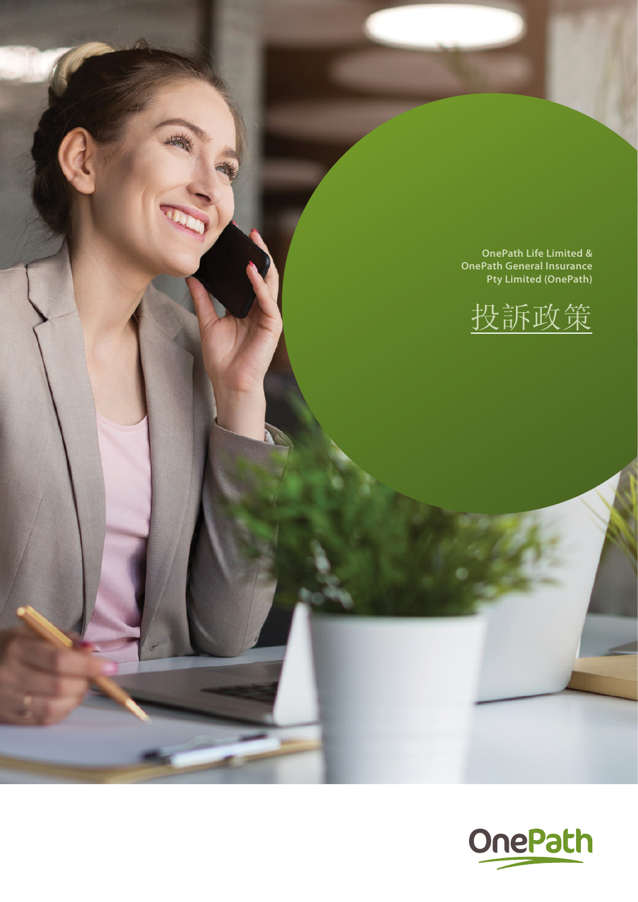**OnePath Life Limited & OnePath General Insurance Pty Limited (OnePath)** 



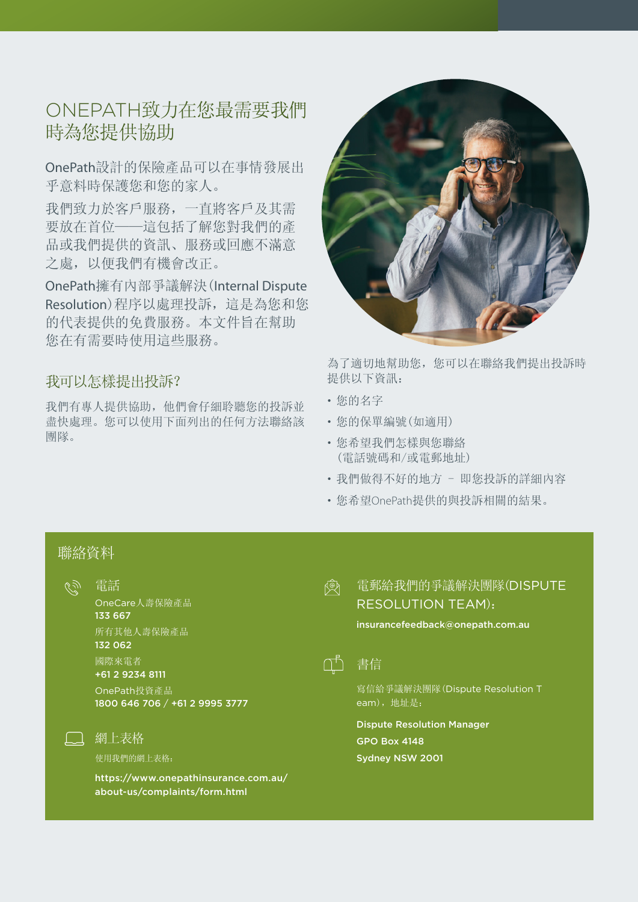# ONEPATH致力在您最需要我們 時為您提供協助

OnePath設計的保險產品可以在事情發展出 乎意料時保護您和您的家人。

我們致力於客戶服務,一直將客戶及其需 要放在首位——這包括了解您對我們的產 品或我們提供的資訊、服務或回應不滿意 之處,以便我們有機會改正。

OnePath擁有內部爭議解決(Internal Dispute Resolution)程序以處理投訴,這是為您和您 的代表提供的免費服務。本文件旨在幫助 您在有需要時使用這些服務。

### 我可以怎樣提出投訴?

我們有專人提供協助,他們會仔細聆聽您的投訴並 盡快處理。您可以使用下面列出的任何方法聯絡該 團隊。



為了適切地幫助您,您可以在聯絡我們提出投訴時 提供以下資訊:

- 您的名字
- 您的保單編號(如適用)
- 您希望我們怎樣與您聯絡 (電話號碼和/或電郵地址)
- 我們做得不好的地方 即您投訴的詳細內容
- 您希望OnePath提供的與投訴相關的結果。

# 聯絡資料

(ز کی 電話

> OneCare人壽保險產品 133 667 所有其他人壽保險產品 132 062 國際來電者 +61 2 9234 8111

OnePath投資產品 1800 646 706 / +61 2 9995 3777

#### 網上表格

使用我們的網上表格:

[https://www.onepathinsurance.com.au/](https://www.onepathinsurance.com.au/about-us/complaints/form.html) [about-us/complaints/form.html](https://www.onepathinsurance.com.au/about-us/complaints/form.html)

#### 電郵給我們的爭議解決團隊(DISPUTE 國 RESOLUTION TEAM):

insurancefeedback@onepath.com.au



書信

寫信給爭議解決團隊(Dispute Resolution T eam), 地址是:

Dispute Resolution Manager GPO Box 4148 Sydney NSW 2001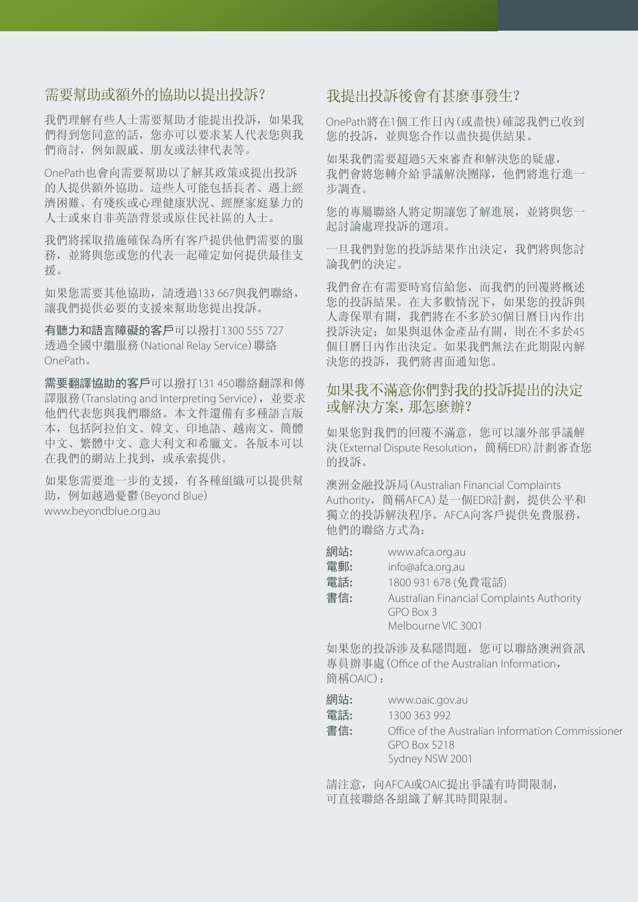### 需要幫助或額外的協助以提出投訴?

我們理解有些人士需要幫助才能提出投訴,如果我 們得到您同意的話,您亦可以要求某人代表您與我 們商討,例如親戚、朋友或法律代表等。

OnePath也會向需要幫助以了解其政策或提出投訴 的人提供額外協助。這些人可能包括長者、遇上經 濟困難、有殘疾或心理健康狀況、經歷家庭暴力的 人士或來自非英語背景或原住民社區的人士。

我們將採取措施確保為所有客戶提供他們需要的服 務,並將與您或您的代表一起確定如何提供最佳支 援。

如果您需要其他協助,請透過133 667與我們聯絡, 讓我們提供必要的支援來幫助您提出投訴。

有聽力和語言障礙的客戶可以撥打1300 555 727 透過全國中繼服務(National Relay Service)聯絡 OnePath。

需要翻譯協助的客戶可以撥打131 450聯絡翻譯和傳 譯服務(Translating and Interpreting Service), 並要求 他們代表您與我們聯絡。本文件還備有多種語言版 本,包括阿拉伯文、韓文、印地語、越南文、簡體 中文、繁體中文、意大利文和希臘文。各版本可以 在我們的網站上找到,或承索提供。

如果您需要進一步的支援,有各種組織可以提供幫 助,例如越過憂鬱(Beyond Blue) [www.beyondblue.org.au](http://www.Beyondblue.org.au)

#### 我提出投訴後會有甚麼事發生?

OnePath將在1個工作日內(或盡快)確認我們已收到 您的投訴,並與您合作以盡快提供結果。

如果我們需要超過5天來審查和解決您的疑慮, 我們會將您轉介給爭議解決團隊,他們將進行進一 步調查。

您的專屬聯絡人將定期讓您了解進展,並將與您一 起討論處理投訴的選項。

一旦我們對您的投訴結果作出決定,我們將與您討 論我們的決定。

我們會在有需要時寫信給您,而我們的回覆將概述 您的投訴結果。在大多數情況下,如果您的投訴與 人壽保單有關,我們將在不多於30個日曆日內作出 投訴決定;如果與退休金產品有關,則在不多於45 個日曆日內作出決定。如果我們無法在此期限內解 決您的投訴,我們將書面通知您。

### 如果我不滿意你們對我的投訴提出的決定 或解決方案,那怎麼辦?

如果您對我們的回覆不滿意,您可以讓外部爭議解 決(External Dispute Resolution,簡稱EDR)計劃審查您 的投訴。

澳洲金融投訴局(Australian Financial Complaints Authority,簡稱AFCA)是一個EDR計劃,提供公平和 獨立的投訴解決程序。AFCA向客戶提供免費服務, 他們的聯絡方式為:

| 網站: | www.afca.org.au                           |
|-----|-------------------------------------------|
| 電郵: | info@afca.org.au                          |
| 電話: | 1800 931 678 (免費電話)                       |
| 書信: | Australian Financial Complaints Authority |
|     | GPO Box 3                                 |
|     | Melbourne VIC 3001                        |
|     |                                           |

如果您的投訴涉及私隱問題,您可以聯絡澳洲資訊 專員辦事處(Office of the Australian Information, 簡稱OAIC):

網站**:** [www.oaic.gov.au](http://www.oaic.gov.au)

電話**:** 1300 363 992

書信**:** Office of the Australian Information Commissioner GPO Box 5218 Sydney NSW 2001

請注意,向AFCA或OAIC提出爭議有時間限制, 可直接聯絡各組織了解其時間限制。